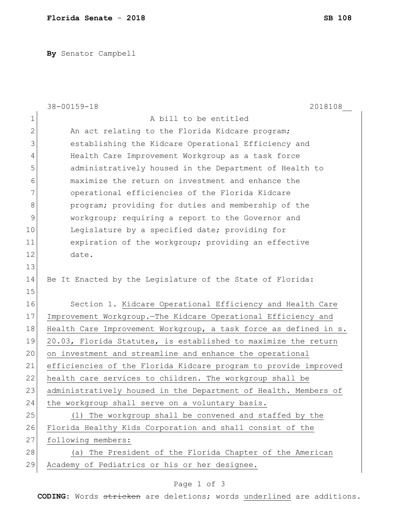**By** Senator Campbell

|              | 38-00159-18<br>2018108                                           |
|--------------|------------------------------------------------------------------|
| 1            | A bill to be entitled                                            |
| $\mathbf{2}$ | An act relating to the Florida Kidcare program;                  |
| 3            | establishing the Kidcare Operational Efficiency and              |
| 4            | Health Care Improvement Workgroup as a task force                |
| 5            | administratively housed in the Department of Health to           |
| 6            | maximize the return on investment and enhance the                |
| 7            | operational efficiencies of the Florida Kidcare                  |
| 8            | program; providing for duties and membership of the              |
| 9            | workgroup; requiring a report to the Governor and                |
| 10           | Legislature by a specified date; providing for                   |
| 11           | expiration of the workgroup; providing an effective              |
| 12           | date.                                                            |
| 13           |                                                                  |
| 14           | Be It Enacted by the Legislature of the State of Florida:        |
| 15           |                                                                  |
| 16           | Section 1. Kidcare Operational Efficiency and Health Care        |
| 17           | Improvement Workgroup. The Kidcare Operational Efficiency and    |
| 18           | Health Care Improvement Workgroup, a task force as defined in s. |
| 19           | 20.03, Florida Statutes, is established to maximize the return   |
| 20           | on investment and streamline and enhance the operational         |
| 21           | efficiencies of the Florida Kidcare program to provide improved  |
| 22           | health care services to children. The workgroup shall be         |
| 23           | administratively housed in the Department of Health. Members of  |
| 24           | the workgroup shall serve on a voluntary basis.                  |
| 25           | (1) The workgroup shall be convened and staffed by the           |
| 26           | Florida Healthy Kids Corporation and shall consist of the        |
| 27           | following members:                                               |
| 28           | (a) The President of the Florida Chapter of the American         |
| 29           | Academy of Pediatrics or his or her designee.                    |

## Page 1 of 3

**CODING**: Words stricken are deletions; words underlined are additions.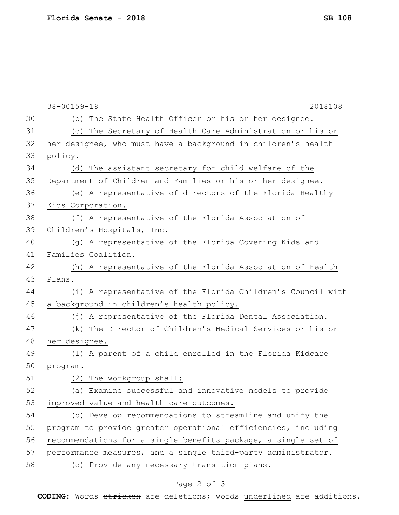|    | 38-00159-18<br>2018108                                         |
|----|----------------------------------------------------------------|
| 30 | The State Health Officer or his or her designee.<br>(b)        |
| 31 | The Secretary of Health Care Administration or his or<br>(C)   |
| 32 | her designee, who must have a background in children's health  |
| 33 | policy.                                                        |
| 34 | The assistant secretary for child welfare of the<br>(d)        |
| 35 | Department of Children and Families or his or her designee.    |
| 36 | (e) A representative of directors of the Florida Healthy       |
| 37 | Kids Corporation.                                              |
| 38 | (f) A representative of the Florida Association of             |
| 39 | Children's Hospitals, Inc.                                     |
| 40 | (q) A representative of the Florida Covering Kids and          |
| 41 | Families Coalition.                                            |
| 42 | (h) A representative of the Florida Association of Health      |
| 43 | Plans.                                                         |
| 44 | (i) A representative of the Florida Children's Council with    |
| 45 | a background in children's health policy.                      |
| 46 | (j) A representative of the Florida Dental Association.        |
| 47 | The Director of Children's Medical Services or his or<br>(k)   |
| 48 | her designee.                                                  |
| 49 | (1) A parent of a child enrolled in the Florida Kidcare        |
| 50 | program.                                                       |
| 51 | The workgroup shall:<br>(2)                                    |
| 52 | (a) Examine successful and innovative models to provide        |
| 53 | improved value and health care outcomes.                       |
| 54 | (b) Develop recommendations to streamline and unify the        |
| 55 | program to provide greater operational efficiencies, including |
| 56 | recommendations for a single benefits package, a single set of |
| 57 | performance measures, and a single third-party administrator.  |
| 58 | (c) Provide any necessary transition plans.                    |

## Page 2 of 3

**CODING**: Words stricken are deletions; words underlined are additions.